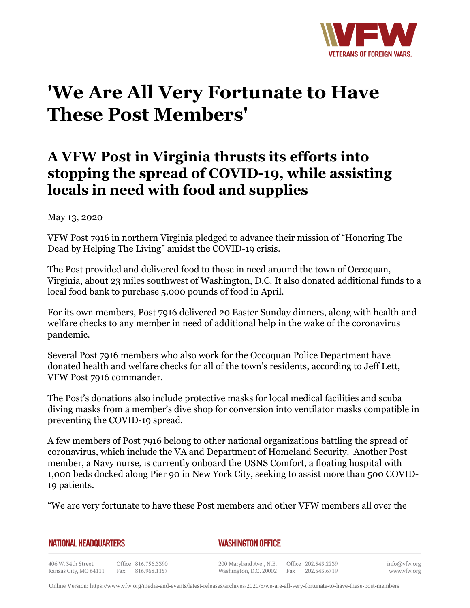

## **'We Are All Very Fortunate to Have These Post Members'**

## **A VFW Post in Virginia thrusts its efforts into stopping the spread of COVID-19, while assisting locals in need with food and supplies**

## May 13, 2020

VFW Post 7916 in northern Virginia pledged to advance their mission of "Honoring The Dead by Helping The Living" amidst the COVID-19 crisis.

The Post provided and delivered food to those in need around the town of Occoquan, Virginia, about 23 miles southwest of Washington, D.C. It also donated additional funds to a local food bank to purchase 5,000 pounds of food in April.

For its own members, Post 7916 delivered 20 Easter Sunday dinners, along with health and welfare checks to any member in need of additional help in the wake of the coronavirus pandemic.

Several Post 7916 members who also work for the Occoquan Police Department have donated health and welfare checks for all of the town's residents, according to Jeff Lett, VFW Post 7916 commander.

The Post's donations also include protective masks for local medical facilities and scuba diving masks from a member's dive shop for conversion into ventilator masks compatible in preventing the COVID-19 spread.

A few members of Post 7916 belong to other national organizations battling the spread of coronavirus, which include the VA and Department of Homeland Security. Another Post member, a Navy nurse, is currently onboard the USNS Comfort, a floating hospital with 1,000 beds docked along Pier 90 in New York City, seeking to assist more than 500 COVID-19 patients.

"We are very fortunate to have these Post members and other VFW members all over the

**NATIONAL HEADQUARTERS** 

*WASHINGTON OFFICE* 

406 W. 34th Street Office 816.756.3390 Fax 816.968.1157 Kansas City, MO 64111

200 Maryland Ave., N.E. Washington, D.C. 20002

Office 202.543.2239 Fax 202.543.6719 info@vfw.org www.vfw.org

Online Version:<https://www.vfw.org/media-and-events/latest-releases/archives/2020/5/we-are-all-very-fortunate-to-have-these-post-members>